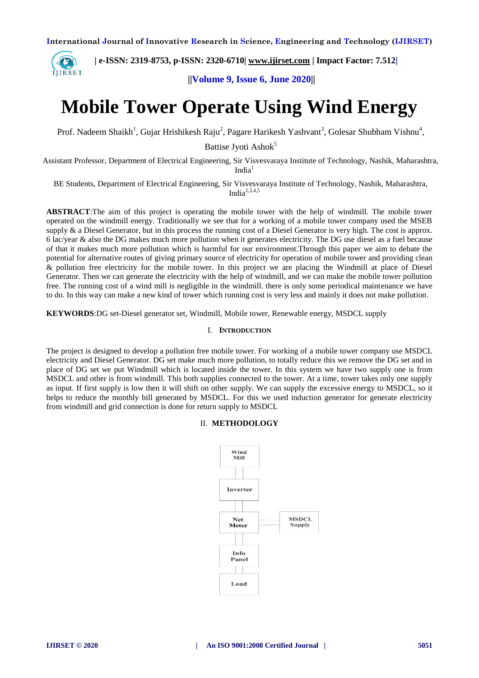

 **| e-ISSN: 2319-8753, p-ISSN: 2320-6710| [www.ijirset.com](http://www.ijirset.com/) | Impact Factor: 7.512|**

 **||Volume 9, Issue 6, June 2020||** 

# **Mobile Tower Operate Using Wind Energy**

Prof. Nadeem Shaikh<sup>1</sup>, Gujar Hrishikesh Raju<sup>2</sup>, Pagare Harikesh Yashvant<sup>3</sup>, Golesar Shubham Vishnu<sup>4</sup>,

Battise Jyoti Ashok<sup>5</sup>

Assistant Professor, Department of Electrical Engineering, Sir Visvesvaraya Institute of Technology, Nashik, Maharashtra, India<sup>1</sup>

BE Students, Department of Electrical Engineering, Sir Visvesvaraya Institute of Technology, Nashik, Maharashtra, India $^{2,3,4,5}$ 

**ABSTRACT**:The aim of this project is operating the mobile tower with the help of windmill. The mobile tower operated on the windmill energy. Traditionally we see that for a working of a mobile tower company used the MSEB supply & a Diesel Generator, but in this process the running cost of a Diesel Generator is very high. The cost is approx. 6 lac/year & also the DG makes much more pollution when it generates electricity. The DG use diesel as a fuel because of that it makes much more pollution which is harmful for our environment.Through this paper we aim to debate the potential for alternative routes of giving primary source of electricity for operation of mobile tower and providing clean & pollution free electricity for the mobile tower. In this project we are placing the Windmill at place of Diesel Generator. Then we can generate the electricity with the help of windmill, and we can make the mobile tower pollution free. The running cost of a wind mill is negligible in the windmill. there is only some periodical maintenance we have to do. In this way can make a new kind of tower which running cost is very less and mainly it does not make pollution.

**KEYWORDS**:DG set-Diesel generator set, Windmill, Mobile tower, Renewable energy, MSDCL supply

#### I. **INTRODUCTION**

The project is designed to develop a pollution free mobile tower. For working of a mobile tower company use MSDCL electricity and Diesel Generator. DG set make much more pollution, to totally reduce this we remove the DG set and in place of DG set we put Windmill which is located inside the tower. In this system we have two supply one is from MSDCL and other is from windmill. This both supplies connected to the tower. At a time, tower takes only one supply as input. If first supply is low then it will shift on other supply. We can supply the excessive energy to MSDCL, so it helps to reduce the monthly bill generated by MSDCL. For this we used induction generator for generate electricity from windmill and grid connection is done for return supply to MSDCL

#### II. **METHODOLOGY**

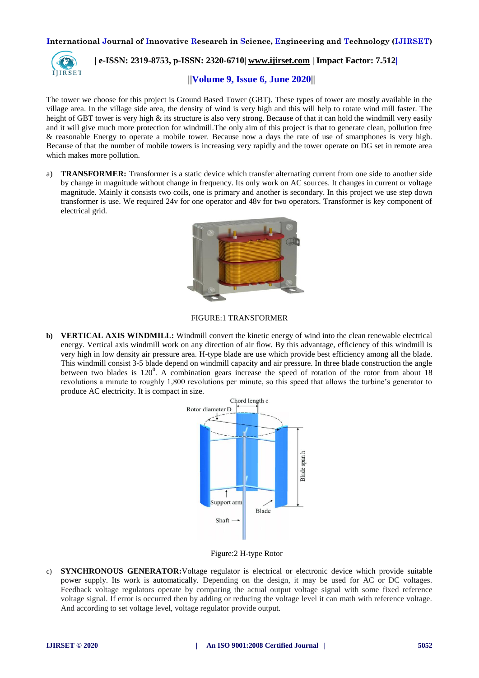

 **| e-ISSN: 2319-8753, p-ISSN: 2320-6710| [www.ijirset.com](http://www.ijirset.com/) | Impact Factor: 7.512|**

 **||Volume 9, Issue 6, June 2020||** 

The tower we choose for this project is Ground Based Tower (GBT). These types of tower are mostly available in the village area. In the village side area, the density of wind is very high and this will help to rotate wind mill faster. The height of GBT tower is very high & its structure is also very strong. Because of that it can hold the windmill very easily and it will give much more protection for windmill.The only aim of this project is that to generate clean, pollution free & reasonable Energy to operate a mobile tower. Because now a days the rate of use of smartphones is very high. Because of that the number of mobile towers is increasing very rapidly and the tower operate on DG set in remote area which makes more pollution.

a) **TRANSFORMER:** Transformer is a static device which transfer alternating current from one side to another side by change in magnitude without change in frequency. Its only work on AC sources. It changes in current or voltage magnitude. Mainly it consists two coils, one is primary and another is secondary. In this project we use step down transformer is use. We required 24v for one operator and 48v for two operators. Transformer is key component of electrical grid.



FIGURE:1 TRANSFORMER

**b) VERTICAL AXIS WINDMILL:** Windmill convert the kinetic energy of wind into the clean renewable electrical energy. Vertical axis windmill work on any direction of air flow. By this advantage, efficiency of this windmill is very high in low density air pressure area. H-type blade are use which provide best efficiency among all the blade. This windmill consist 3-5 blade depend on windmill capacity and air pressure. In three blade construction the angle between two blades is  $120^0$ . A combination gears increase the speed of rotation of the rotor from about 18 revolutions a minute to roughly 1,800 revolutions per minute, so this speed that allows the turbine's generator to produce AC electricity. It is compact in size.



Figure:2 H-type Rotor

c) **SYNCHRONOUS GENERATOR:**Voltage regulator is electrical or electronic device which provide suitable power supply. Its work is automatically. Depending on the design, it may be used for AC or DC voltages. Feedback voltage regulators operate by comparing the actual output voltage signal with some fixed reference voltage signal. If error is occurred then by adding or reducing the voltage level it can math with reference voltage. And according to set voltage level, voltage regulator provide output.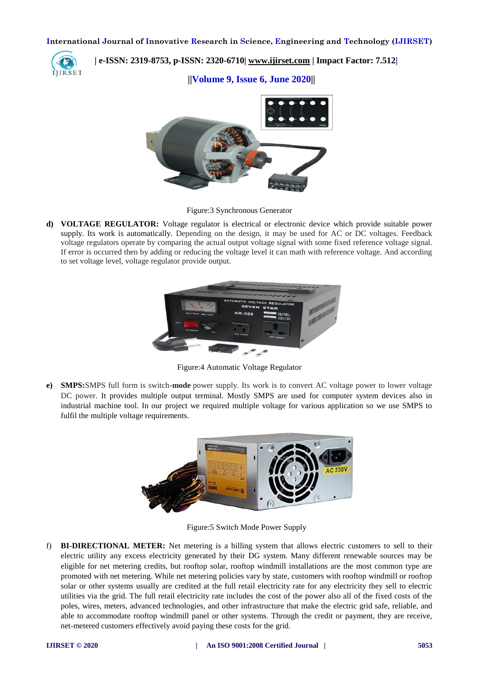

 **| e-ISSN: 2319-8753, p-ISSN: 2320-6710| [www.ijirset.com](http://www.ijirset.com/) | Impact Factor: 7.512|**

 **||Volume 9, Issue 6, June 2020||** 



Figure:3 Synchronous Generator

**d) VOLTAGE REGULATOR:** Voltage regulator is electrical or electronic device which provide suitable power supply. Its work is automatically. Depending on the design, it may be used for AC or DC voltages. Feedback voltage regulators operate by comparing the actual output voltage signal with some fixed reference voltage signal. If error is occurred then by adding or reducing the voltage level it can math with reference voltage. And according to set voltage level, voltage regulator provide output.



Figure:4 Automatic Voltage Regulator

**e) SMPS:**SMPS full form is switch-**mode** power supply. Its work is to convert AC voltage power to lower voltage DC power. It provides multiple output terminal. Mostly SMPS are used for computer system devices also in industrial machine tool. In our project we required multiple voltage for various application so we use SMPS to fulfil the multiple voltage requirements.



Figure:5 Switch Mode Power Supply

f) **BI-DIRECTIONAL METER:** Net metering is a billing system that allows electric customers to sell to their electric utility any excess electricity generated by their DG system. Many different renewable sources may be eligible for net metering credits, but rooftop solar, rooftop windmill installations are the most common type are promoted with net metering. While net metering policies vary by state, customers with rooftop windmill or rooftop solar or other systems usually are credited at the full retail electricity rate for any electricity they sell to electric utilities via the grid. The full retail electricity rate includes the cost of the power also all of the fixed costs of the poles, wires, meters, advanced technologies, and other infrastructure that make the electric grid safe, reliable, and able to accommodate rooftop windmill panel or other systems. Through the credit or payment, they are receive, net-metered customers effectively avoid paying these costs for the grid.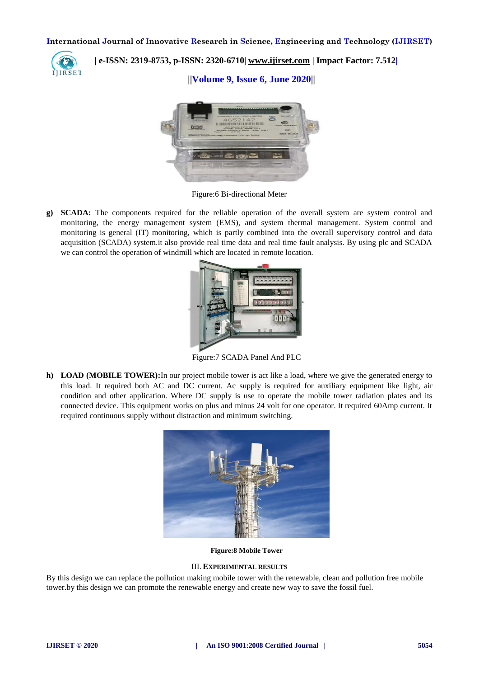

 **| e-ISSN: 2319-8753, p-ISSN: 2320-6710| [www.ijirset.com](http://www.ijirset.com/) | Impact Factor: 7.512|**

 **||Volume 9, Issue 6, June 2020||** 



Figure:6 Bi-directional Meter

**g) SCADA:** The components required for the reliable operation of the overall system are system control and monitoring, the energy management system (EMS), and system thermal management. System control and monitoring is general (IT) monitoring, which is partly combined into the overall supervisory control and data acquisition (SCADA) system.it also provide real time data and real time fault analysis. By using plc and SCADA we can control the operation of windmill which are located in remote location.



Figure:7 SCADA Panel And PLC

**h) LOAD (MOBILE TOWER):**In our project mobile tower is act like a load, where we give the generated energy to this load. It required both AC and DC current. Ac supply is required for auxiliary equipment like light, air condition and other application. Where DC supply is use to operate the mobile tower radiation plates and its connected device. This equipment works on plus and minus 24 volt for one operator. It required 60Amp current. It required continuous supply without distraction and minimum switching.



**Figure:8 Mobile Tower**

#### III. **EXPERIMENTAL RESULTS**

By this design we can replace the pollution making mobile tower with the renewable, clean and pollution free mobile tower.by this design we can promote the renewable energy and create new way to save the fossil fuel.